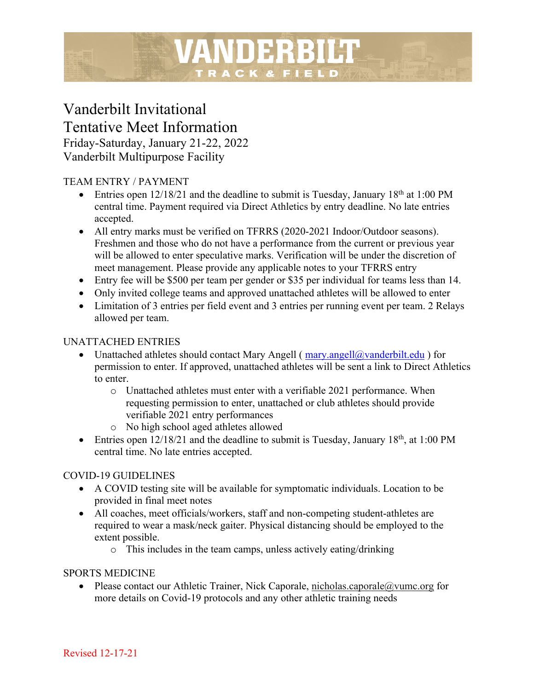# Vanderbilt Invitational Tentative Meet Information

Friday-Saturday, January 21-22, 2022 Vanderbilt Multipurpose Facility

## TEAM ENTRY / PAYMENT

• Entries open  $12/18/21$  and the deadline to submit is Tuesday, January  $18<sup>th</sup>$  at 1:00 PM central time. Payment required via Direct Athletics by entry deadline. No late entries accepted.

VANDERBILT

TRACK & FIELD

- All entry marks must be verified on TFRRS (2020-2021 Indoor/Outdoor seasons). Freshmen and those who do not have a performance from the current or previous year will be allowed to enter speculative marks. Verification will be under the discretion of meet management. Please provide any applicable notes to your TFRRS entry
- Entry fee will be \$500 per team per gender or \$35 per individual for teams less than 14.
- Only invited college teams and approved unattached athletes will be allowed to enter
- Limitation of 3 entries per field event and 3 entries per running event per team. 2 Relays allowed per team.

## UNATTACHED ENTRIES

- Unattached athletes should contact Mary Angell ( $\frac{\text{mary.angell@vanderbit.edu}}{\text{query.angell@vanderbit.edu}}$ ) for permission to enter. If approved, unattached athletes will be sent a link to Direct Athletics to enter.
	- o Unattached athletes must enter with a verifiable 2021 performance. When requesting permission to enter, unattached or club athletes should provide verifiable 2021 entry performances
	- o No high school aged athletes allowed
- Entries open  $12/18/21$  and the deadline to submit is Tuesday, January  $18<sup>th</sup>$ , at 1:00 PM central time. No late entries accepted.

## COVID-19 GUIDELINES

- A COVID testing site will be available for symptomatic individuals. Location to be provided in final meet notes
- All coaches, meet officials/workers, staff and non-competing student-athletes are required to wear a mask/neck gaiter. Physical distancing should be employed to the extent possible.
	- o This includes in the team camps, unless actively eating/drinking

## SPORTS MEDICINE

• Please contact our Athletic Trainer, Nick Caporale, nicholas.caporale@vumc.org for more details on Covid-19 protocols and any other athletic training needs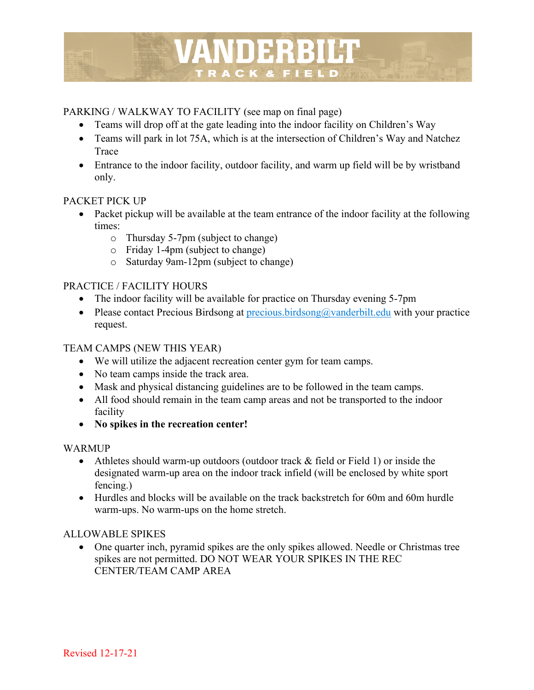

## PARKING / WALKWAY TO FACILITY (see map on final page)

- Teams will drop off at the gate leading into the indoor facility on Children's Way
- Teams will park in lot 75A, which is at the intersection of Children's Way and Natchez Trace
- Entrance to the indoor facility, outdoor facility, and warm up field will be by wristband only.

## PACKET PICK UP

- Packet pickup will be available at the team entrance of the indoor facility at the following times:
	- o Thursday 5-7pm (subject to change)
	- o Friday 1-4pm (subject to change)
	- o Saturday 9am-12pm (subject to change)

## PRACTICE / FACILITY HOURS

- The indoor facility will be available for practice on Thursday evening 5-7pm
- Please contact Precious Birdsong at precious.birdsong  $\widehat{a}$  vanderbilt.edu with your practice request.

## TEAM CAMPS (NEW THIS YEAR)

- We will utilize the adjacent recreation center gym for team camps.
- No team camps inside the track area.
- Mask and physical distancing guidelines are to be followed in the team camps.
- All food should remain in the team camp areas and not be transported to the indoor facility
- **No spikes in the recreation center!**

## WARMUP

- Athletes should warm-up outdoors (outdoor track & field or Field 1) or inside the designated warm-up area on the indoor track infield (will be enclosed by white sport fencing.)
- Hurdles and blocks will be available on the track backstretch for 60m and 60m hurdle warm-ups. No warm-ups on the home stretch.

## ALLOWABLE SPIKES

• One quarter inch, pyramid spikes are the only spikes allowed. Needle or Christmas tree spikes are not permitted. DO NOT WEAR YOUR SPIKES IN THE REC CENTER/TEAM CAMP AREA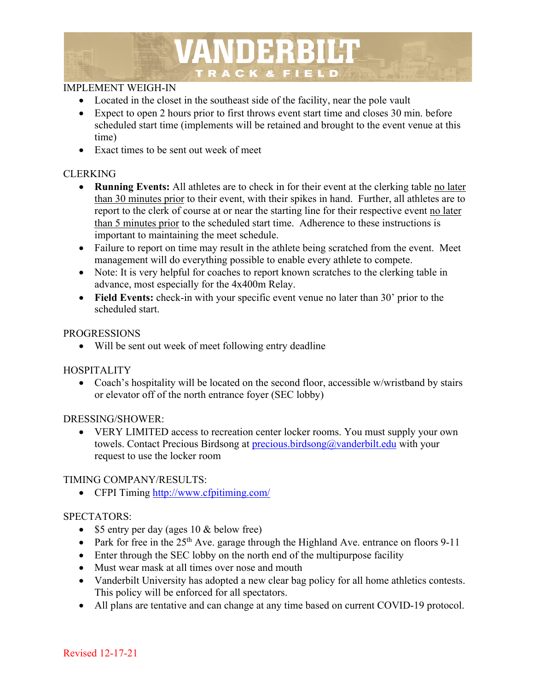

#### IMPLEMENT WEIGH-IN

- Located in the closet in the southeast side of the facility, near the pole vault
- Expect to open 2 hours prior to first throws event start time and closes 30 min. before scheduled start time (implements will be retained and brought to the event venue at this time)
- Exact times to be sent out week of meet

#### CLERKING

- **Running Events:** All athletes are to check in for their event at the clerking table no later than 30 minutes prior to their event, with their spikes in hand. Further, all athletes are to report to the clerk of course at or near the starting line for their respective event no later than 5 minutes prior to the scheduled start time. Adherence to these instructions is important to maintaining the meet schedule.
- Failure to report on time may result in the athlete being scratched from the event. Meet management will do everything possible to enable every athlete to compete.
- Note: It is very helpful for coaches to report known scratches to the clerking table in advance, most especially for the 4x400m Relay.
- **Field Events:** check-in with your specific event venue no later than 30' prior to the scheduled start.

#### PROGRESSIONS

• Will be sent out week of meet following entry deadline

## **HOSPITALITY**

• Coach's hospitality will be located on the second floor, accessible w/wristband by stairs or elevator off of the north entrance foyer (SEC lobby)

#### DRESSING/SHOWER:

• VERY LIMITED access to recreation center locker rooms. You must supply your own towels. Contact Precious Birdsong at **precious.birdsong@vanderbilt.edu** with your request to use the locker room

#### TIMING COMPANY/RESULTS:

• CFPI Timing http://www.cfpitiming.com/

## SPECTATORS:

- \$5 entry per day (ages 10 & below free)
- Park for free in the  $25<sup>th</sup>$  Ave. garage through the Highland Ave. entrance on floors 9-11
- Enter through the SEC lobby on the north end of the multipurpose facility
- Must wear mask at all times over nose and mouth
- Vanderbilt University has adopted a new clear bag policy for all home athletics contests. This policy will be enforced for all spectators.
- All plans are tentative and can change at any time based on current COVID-19 protocol.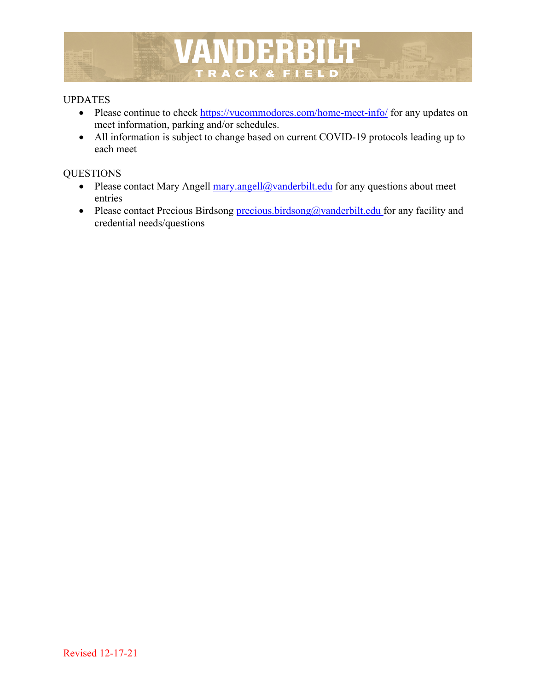

#### UPDATES

- Please continue to check https://vucommodores.com/home-meet-info/ for any updates on meet information, parking and/or schedules.
- All information is subject to change based on current COVID-19 protocols leading up to each meet

#### **OUESTIONS**

- Please contact Mary Angell mary.angell@vanderbilt.edu for any questions about meet entries
- Please contact Precious Birdsong precious.birdsong@vanderbilt.edu for any facility and credential needs/questions